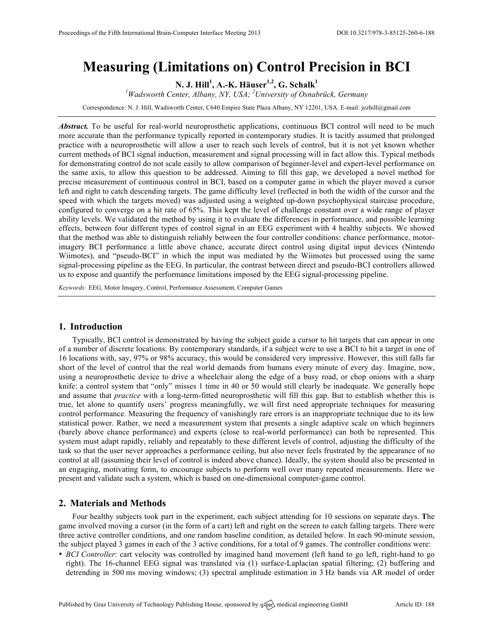# **Measuring (Limitations on) Control Precision in BCI**

**N. J. Hill<sup>1</sup> , A.-K. Häuser1,2, G. Schalk<sup>1</sup>**

*1 Wadsworth Center, Albany, NY, USA; <sup>2</sup> University of Osnabrück, Germany*

Correspondence: N. J. Hill, Wadsworth Center, C640 Empire State Plaza Albany, NY 12201, USA. E-mail: jezhill@gmail.com

*Abstract.* To be useful for real-world neuroprosthetic applications, continuous BCI control will need to be much more accurate than the performance typically reported in contemporary studies. It is tacitly assumed that prolonged practice with a neuroprosthetic will allow a user to reach such levels of control, but it is not yet known whether current methods of BCI signal induction, measurement and signal processing will in fact allow this. Typical methods for demonstrating control do not scale easily to allow comparison of beginner-level and expert-level performance on the same axis, to allow this question to be addressed. Aiming to fill this gap, we developed a novel method for precise measurement of continuous control in BCI, based on a computer game in which the player moved a cursor left and right to catch descending targets. The game difficulty level (reflected in both the width of the cursor and the speed with which the targets moved) was adjusted using a weighted up-down psychophysical staircase procedure, configured to converge on a hit rate of 65%. This kept the level of challenge constant over a wide range of player ability levels. We validated the method by using it to evaluate the differences in performance, and possible learning effects, between four different types of control signal in an EEG experiment with 4 healthy subjects. We showed that the method was able to distinguish reliably between the four controller conditions: chance performance, motorimagery BCI performance a little above chance, accurate direct control using digital input devices (Nintendo Wiimotes), and "pseudo-BCI" in which the input was mediated by the Wiimotes but processed using the same signal-processing pipeline as the EEG. In particular, the contrast between direct and pseudo-BCI controllers allowed us to expose and quantify the performance limitations imposed by the EEG signal-processing pipeline.

*Keywords:* EEG, Motor Imagery, Control, Performance Assessment, Computer Games

## **1. Introduction**

Typically, BCI control is demonstrated by having the subject guide a cursor to hit targets that can appear in one of a number of discrete locations. By contemporary standards, if a subject were to use a BCI to hit a target in one of 16 locations with, say, 97% or 98% accuracy, this would be considered very impressive. However, this still falls far short of the level of control that the real world demands from humans every minute of every day. Imagine, now, using a neuroprosthetic device to drive a wheelchair along the edge of a busy road, or chop onions with a sharp knife: a control system that "only" misses 1 time in 40 or 50 would still clearly be inadequate. We generally hope and assume that *practice* with a long-term-fitted neuroprosthetic will fill this gap. But to establish whether this is true, let alone to quantify users' progress meaningfully, we will first need appropriate techniques for measuring control performance. Measuring the frequency of vanishingly rare errors is an inappropriate technique due to its low statistical power. Rather, we need a measurement system that presents a single adaptive scale on which beginners (barely above chance performance) and experts (close to real-world performance) can both be represented. This system must adapt rapidly, reliably and repeatably to these different levels of control, adjusting the difficulty of the task so that the user never approaches a performance ceiling, but also never feels frustrated by the appearance of no control at all (assuming their level of control is indeed above chance). Ideally, the system should also be presented in an engaging, motivating form, to encourage subjects to perform well over many repeated measurements. Here we present and validate such a system, which is based on one-dimensional computer-game control.

# **2. Materials and Methods**

Four healthy subjects took part in the experiment, each subject attending for 10 sessions on separate days. **T**he game involved moving a cursor (in the form of a cart) left and right on the screen to catch falling targets. There were three active controller conditions, and one random baseline condition, as detailed below. In each 90-minute session, the subject played 3 games in each of the 3 active conditions, for a total of 9 games. The controller conditions were:

• *BCI Controller*: cart velocity was controlled by imagined hand movement (left hand to go left, right-hand to go right). The 16-channel EEG signal was translated via (1) surface-Laplacian spatial filtering; (2) buffering and detrending in 500 ms moving windows; (3) spectral amplitude estimation in 3 Hz bands via AR model of order